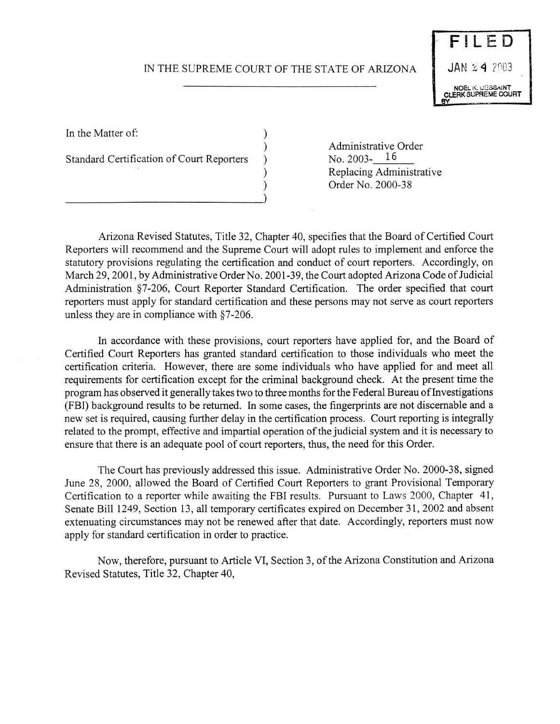## IN THE SUPREME COURT OF THE STATE OF ARIZONA



In the Matter of:  $\qquad \qquad$  )

Standard Certification of Court Reporters

\_\_\_\_\_\_\_\_\_\_\_\_\_\_\_\_\_\_\_\_\_\_\_\_\_\_\_\_\_\_\_\_\_\_\_\_\_\_\_\_\_\_\_\_\_\_\_\_\_\_\_\_\_\_\_\_\_\_\_\_\_\_\_\_\_\_\_\_\_\_\_\_\_\_\_)

) Administrative Order<br>
No. 2003-16 ) Replacing Administrative Order No. 2000-38

Arizona Revised Statutes, Title 32, Chapter 40, specifies that the Board of Certified Court Reporters will recommend and the Supreme Court will adopt rules to implement and enforce the statutory provisions regulating the certification and conduct of court reporters. Accordingly, on March 29, 2001, by Administrative Order No. 2001-39, the Court adopted Arizona Code of Judicial Administration §7-206, Court Reporter Standard Certification. The order specified that court reporters must apply for standard certification and these persons may not serve as court reporters unless they are in compliance with §7-206.

In accordance with these provisions, court reporters have applied for, and the Board of Certified Court Reporters has granted standard certification to those individuals who meet the certification criteria. However, there are some individuals who have applied for and meet all requirements for certification except for the criminal background check. At the present time the program has observed it generally takes two to three months for the Federal Bureau of Investigations (FBI) background results to be returned. In some cases, the fingerprints are not discernable and a new set is required, causing further delay in the certification process. Court reporting is integrally related to the prompt, effective and impartial operation of the judicial system and it is necessary to ensure that there is an adequate pool of court reporters, thus, the need for this Order.

The Court has previously addressed this issue. Administrative Order No. 2000-38, signed June 28, 2000, allowed the Board of Certified Court Reporters to grant Provisional Temporary Certification to a reporter while awaiting the FBI results. Pursuant to Laws 2000, Chapter 41, Senate Bill 1249, Section 13, all temporary certificates expired on December 31, 2002 and absent extenuating circumstances may not be renewed after that date. Accordingly, reporters must now apply for standard certification in order to practice.

Now, therefore, pursuant to Article VI, Section 3, of the Arizona Constitution and Arizona Revised Statutes, Title 32, Chapter 40,